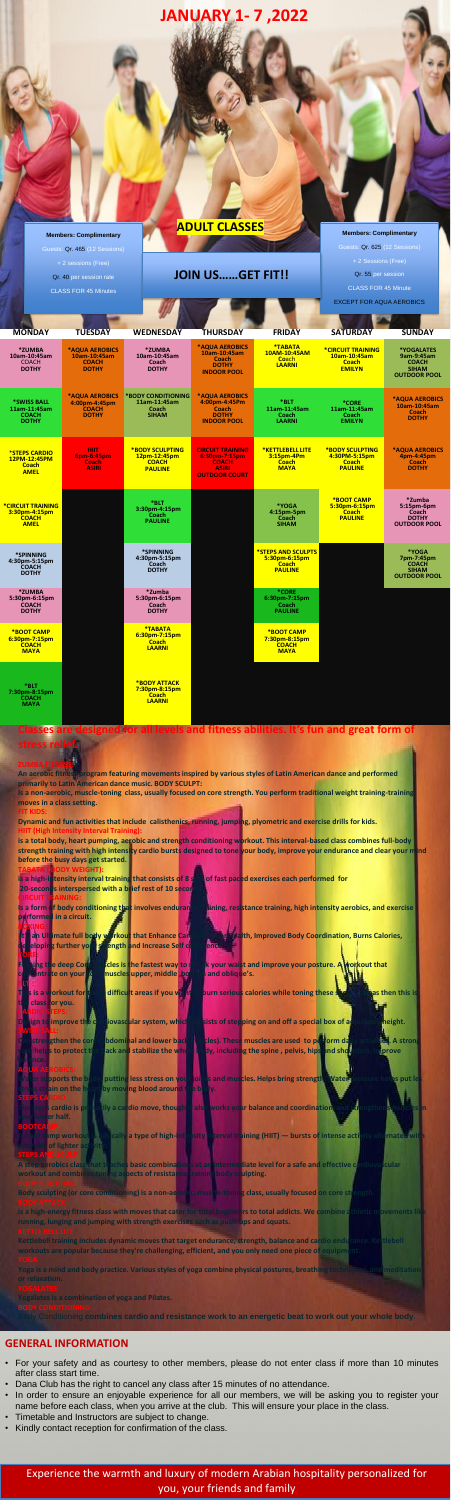**GENERAL INFORMATION**

• For your safety and as courtesy to other members, please do not enter class if more than 10 minutes after class start time.

y Conditioning combines cardio and resistance work to an energetic beat to work out your whole body.

- Dana Club has the right to cancel any class after 15 minutes of no attendance.
- In order to ensure an enjoyable experience for all our members, we will be asking you to register your name before each class, when you arrive at the club. This will ensure your place in the class.
- Timetable and Instructors are subject to change.
- Kindly contact reception for confirmation of the class.

Experience the warmth and luxury of modern Arabian hospitality personalized for you, your friends and family

| <b>MONDAY</b>                                                                   | <b>TUESDAY</b>                                                         | <b>WEDNESDAY</b>                                                         | <b>THURSDAY</b>                                                                                  | <b>FRIDAY</b>                                                         | <b>SATURDAY</b>                                                                  | <b>SUNDAY</b>                                                                          |
|---------------------------------------------------------------------------------|------------------------------------------------------------------------|--------------------------------------------------------------------------|--------------------------------------------------------------------------------------------------|-----------------------------------------------------------------------|----------------------------------------------------------------------------------|----------------------------------------------------------------------------------------|
| *ZUMBA<br>10am-10:45am<br><b>COACH</b><br><b>DOTHY</b>                          | <b>*AQUA AEROBICS</b><br>10am-10:45am<br><b>COACH</b><br><b>DOTHY</b>  | *ZUMBA<br>10am-10:45am<br>Coach<br><b>DOTHY</b>                          | <b>*AOUA AEROBICS</b><br>10am-10:45am<br>Coach<br><b>DOTHY</b><br><b>INDOOR POOL</b>             | *TABATA<br>10AM-10:45AM<br><b>Coach</b><br><b>LAARNI</b>              | <b><i>*CIRCUIT TRAINING</i></b><br>10am-10:45am<br><b>Coach</b><br><b>EMILYN</b> | <b>*YOGALATES</b><br>9am-9:45am<br><b>COACH</b><br><b>SIHAM</b><br><b>OUTDOOR POOL</b> |
| *SWISS BALL<br>11am-11:45am<br><b>COACH</b><br><b>DOTHY</b>                     | <b>*AQUA AEROBICS</b><br>4:00pm-4:45pm<br><b>COACH</b><br><b>DOTHY</b> | *BODY CONDITIONING<br>11am-11:45am<br>Coach<br><b>SIHAM</b>              | <b>*AQUA AEROBICS</b><br>4:00pm-4:45Pm<br>Coach<br><b>DOTHY</b><br><b>INDOOR POOL</b>            | *BLT<br>11am-11:45am<br>Coach<br><b>LAARNI</b>                        | *CORE<br>11am-11:45am<br>Coach<br><b>EMILYN</b>                                  | <b>*AQUA AEROBICS</b><br>10am-10:45am<br>Coach<br><b>DOTHY</b>                         |
| <b><i>*STEPS CARDIO</i></b><br>12PM-12:45PM<br>Coach<br><b>AMEL</b>             | <b>HIIT</b><br>6pm-6:45pm<br>Coach<br><b>ASIRI</b>                     | <b>*BODY SCULPTING</b><br>12pm-12:45pm<br><b>COACH</b><br><b>PAULINE</b> | <b>CIRCUIT TRAINING</b><br>6:30pm-7:15pm<br><b>COACH</b><br><b>ASIRI</b><br><b>OUTDOOR COURT</b> | *KETTLEBELL LITE<br>3:15pm-4Pm<br>Coach<br><b>MAYA</b>                | <b>*BODY SCULPTING</b><br>4:30PM-5:15pm<br><b>Coach</b><br><b>PAULINE</b>        | <b>*AQUA AEROBICS</b><br>4pm-4:45pm<br>Coach<br><b>DOTHY</b>                           |
| <b><i>*CIRCUIT TRAINING</i></b><br>3:30pm-4:15pm<br><b>COACH</b><br><b>AMEL</b> |                                                                        | *BLT<br>3:30pm-4:15pm<br>Coach<br><b>PAULINE</b>                         |                                                                                                  | *YOGA<br>$4:15pm-5pm$<br>Coach<br><b>SIHAM</b>                        | *BOOT CAMP<br>5:30pm-6:15pm<br>Coach<br><b>PAULINE</b>                           | *Zumba<br>$5:15$ pm-6pm<br>Coach<br><b>DOTHY</b><br><b>OUTDOOR POOL</b>                |
| *SPINNING<br>4:30pm-5:15pm<br><b>COACH</b><br><b>DOTHY</b>                      |                                                                        | *SPINNING<br>4:30pm-5:15pm<br>Coach<br><b>DOTHY</b>                      |                                                                                                  | *STEPS AND SCULPTS<br>5:30pm-6:15pm<br><b>Coach</b><br><b>PAULINE</b> |                                                                                  | *YOGA<br>7pm-7:45pm<br><b>COACH</b><br><b>SIHAM</b><br><b>OUTDOOR POOL</b>             |
| *ZUMBA<br>5:30pm-6:15pm<br><b>COACH</b><br><b>DOTHY</b>                         |                                                                        | *Zumba<br>5:30pm-6:15pm<br>Coach<br><b>DOTHY</b>                         |                                                                                                  | *CORE<br>6:30pm-7:15pm<br>Coach<br><b>PAULINE</b>                     |                                                                                  |                                                                                        |
| *BOOT CAMP<br>$6:30$ pm-7:15pm<br><b>COACH</b><br><b>MAYA</b>                   |                                                                        | *TABATA<br>6:30pm-7:15pm<br><b>Coach</b><br><b>LAARNI</b>                |                                                                                                  | *BOOT CAMP<br>7:30pm-8:15pm<br><b>COACH</b><br><b>MAYA</b>            |                                                                                  |                                                                                        |
|                                                                                 |                                                                        |                                                                          |                                                                                                  |                                                                       |                                                                                  |                                                                                        |

## **Members: Complimentary**

Guests: Qr. 465 (12 Sessions)

Qr. 40 per session rate

CLASS FOR 45 Minutes

**Members: Complimentary**  Guests: Qr. 625 (12 Sessions)

Qr. 55 per session CLASS FOR 45 Minute

EXCEPT FOR AQUA AEROBICS

## **JOIN US……GET FIT!!**

**ADULT CLASSES**

| Classes are designed for all levels and fitness abilities. It's fun and great form of                                                                                                                                          |
|--------------------------------------------------------------------------------------------------------------------------------------------------------------------------------------------------------------------------------|
| stress relief.                                                                                                                                                                                                                 |
|                                                                                                                                                                                                                                |
| <b>ZUMBA FITNE</b>                                                                                                                                                                                                             |
| An aerobic fitness program featuring movements inspired by various styles of Latin American dance and performed<br>primarily to Latin American dance music. BODY SCULPT:                                                       |
| Is a non-aerobic, muscle-toning class, usually focused on core strength. You perform traditional weight training-training                                                                                                      |
| moves in a class setting.                                                                                                                                                                                                      |
| <b>FIT KIDS:</b>                                                                                                                                                                                                               |
| Dynamic and fun activities that include calisthenics, running, jumping, plyometric and exercise drills for kids.                                                                                                               |
| <b>HIIT (High Intensity Interval Training):</b><br>is a total body, heart pumping, aerobic and strength conditioning workout. This interval-based class combines full-body                                                     |
| strength training with high intensity cardio bursts designed to tone your body, improve your endurance and clear your nind                                                                                                     |
| before the busy days get started.                                                                                                                                                                                              |
| <b>TABATA (BODY WEIGHT):</b>                                                                                                                                                                                                   |
| is a high-intensity interval training that consists of 8 set of fast paced exercises each performed for<br>20-seconds interspersed with a brief rest of 10 secon                                                               |
| <b>CIRCUIT TRAINING:</b>                                                                                                                                                                                                       |
| Is a form of body conditioning that involves endurare alaning, resistance training, high intensity aerobics, and exercise                                                                                                      |
| performed in a circuit.                                                                                                                                                                                                        |
| WING<br>It's an Ullimate full body workout that Enhance Cardinal still articalth, Improved Body Coordination, Burns Calories,                                                                                                  |
| de eloping further your spength and Increase Self co<br><b>ence</b>                                                                                                                                                            |
|                                                                                                                                                                                                                                |
| <b>K</b> your waist and improve your posture. A workout that<br><b>Fighting the deep Congress is the fastest way to s</b>                                                                                                      |
| comeentrate on your come<br>muscles upper, middle, bo<br>h and oblique's.                                                                                                                                                      |
| This is a workout for the<br>difficult areas if you want to burn serious calories while toning these s<br>as then this is                                                                                                      |
| class for you.<br>the                                                                                                                                                                                                          |
|                                                                                                                                                                                                                                |
| Design to improve the decliptor ascular system, which the sists of stepping on and off a special box of a thus able height.                                                                                                    |
| bdominal and lower back the cles). These muscles are used to perform day y activaties. A strong<br>strengthen the core                                                                                                         |
| ack and stabilize the whole londy, including the spine , pelvis, hips and shoulders. Improve<br>helps to protect t                                                                                                             |
| palance.                                                                                                                                                                                                                       |
|                                                                                                                                                                                                                                |
| <b>Water supports the b</b><br>putting less stress on your joints and muscles. Helps bring strength. Water pressure helps put les                                                                                              |
| stress strain on the h<br>by moving blood around the body.                                                                                                                                                                     |
| The steps cardio is primarily a cardio move, though it also works your balance and coordination, and strengthensimus                                                                                                           |
| your lower half.                                                                                                                                                                                                               |
| <b>BOOTCAMP</b>                                                                                                                                                                                                                |
| A boot camp workout is basically a type of high-intensity interval training (HIIT) — bursts of intense activity alternated with<br><b>Intervals of lighter activity</b>                                                        |
| <b>STEPS AND SCUL</b>                                                                                                                                                                                                          |
| A step aerobics class that teaches basic combinations at an intermediate level for a safe and effective cardiovascular                                                                                                         |
| workout and combines toning aspects of resistance training body sculpting.                                                                                                                                                     |
| <b>BODY SCULPTING</b>                                                                                                                                                                                                          |
| Body sculpting (or core conditioning) is a non-acrobic, must e-toning class, usually focused on core strength.<br><b>ODY ATTACK</b>                                                                                            |
| is a high-energy fitness class with moves that cater for total beginners to total addicts. We combine athletic movements like                                                                                                  |
| running, lunging and jumping with strength exercises such as push-ups and squats.                                                                                                                                              |
| Kettle Bell i                                                                                                                                                                                                                  |
| Kettlebell training includes dynamic moves that target endurance, strength, balance and cardio endurance. Kettlebell<br>workouts are popular because they're challenging, efficient, and you only need one piece of equipment. |
|                                                                                                                                                                                                                                |
| Yoga is a mind and body practice. Various styles of yoga combine physical postures, breathing techniques, and meditation                                                                                                       |
| or relaxation.                                                                                                                                                                                                                 |
| <b>YOGALATES</b>                                                                                                                                                                                                               |
| <b>Yogalates is a combination of yoga and Pilates.</b><br><b>BODY CONDITIONING:</b>                                                                                                                                            |

## **JANUARY 1- 7 ,2022**